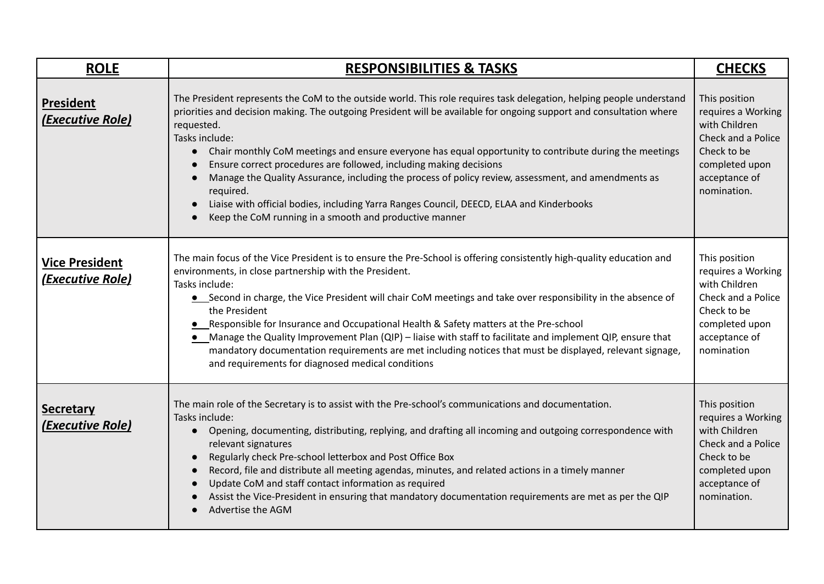| <b>ROLE</b>                                      | <b>RESPONSIBILITIES &amp; TASKS</b>                                                                                                                                                                                                                                                                                                                                                                                                                                                                                                                                                                                                                                                                                                   | <b>CHECKS</b>                                                                                                                               |
|--------------------------------------------------|---------------------------------------------------------------------------------------------------------------------------------------------------------------------------------------------------------------------------------------------------------------------------------------------------------------------------------------------------------------------------------------------------------------------------------------------------------------------------------------------------------------------------------------------------------------------------------------------------------------------------------------------------------------------------------------------------------------------------------------|---------------------------------------------------------------------------------------------------------------------------------------------|
| <b>President</b><br>(Executive Role)             | The President represents the CoM to the outside world. This role requires task delegation, helping people understand<br>priorities and decision making. The outgoing President will be available for ongoing support and consultation where<br>requested.<br>Tasks include:<br>Chair monthly CoM meetings and ensure everyone has equal opportunity to contribute during the meetings<br>Ensure correct procedures are followed, including making decisions<br>Manage the Quality Assurance, including the process of policy review, assessment, and amendments as<br>required.<br>Liaise with official bodies, including Yarra Ranges Council, DEECD, ELAA and Kinderbooks<br>Keep the CoM running in a smooth and productive manner | This position<br>requires a Working<br>with Children<br>Check and a Police<br>Check to be<br>completed upon<br>acceptance of<br>nomination. |
| <b>Vice President</b><br><b>(Executive Role)</b> | The main focus of the Vice President is to ensure the Pre-School is offering consistently high-quality education and<br>environments, in close partnership with the President.<br>Tasks include:<br>• Second in charge, the Vice President will chair CoM meetings and take over responsibility in the absence of<br>the President<br>• Responsible for Insurance and Occupational Health & Safety matters at the Pre-school<br>Manage the Quality Improvement Plan (QIP) - liaise with staff to facilitate and implement QIP, ensure that<br>mandatory documentation requirements are met including notices that must be displayed, relevant signage,<br>and requirements for diagnosed medical conditions                           | This position<br>requires a Working<br>with Children<br>Check and a Police<br>Check to be<br>completed upon<br>acceptance of<br>nomination  |
| <b>Secretary</b><br>(Executive Role)             | The main role of the Secretary is to assist with the Pre-school's communications and documentation.<br>Tasks include:<br>Opening, documenting, distributing, replying, and drafting all incoming and outgoing correspondence with<br>$\bullet$<br>relevant signatures<br>Regularly check Pre-school letterbox and Post Office Box<br>Record, file and distribute all meeting agendas, minutes, and related actions in a timely manner<br>Update CoM and staff contact information as required<br>Assist the Vice-President in ensuring that mandatory documentation requirements are met as per the QIP<br>Advertise the AGM                                                                                                          | This position<br>requires a Working<br>with Children<br>Check and a Police<br>Check to be<br>completed upon<br>acceptance of<br>nomination. |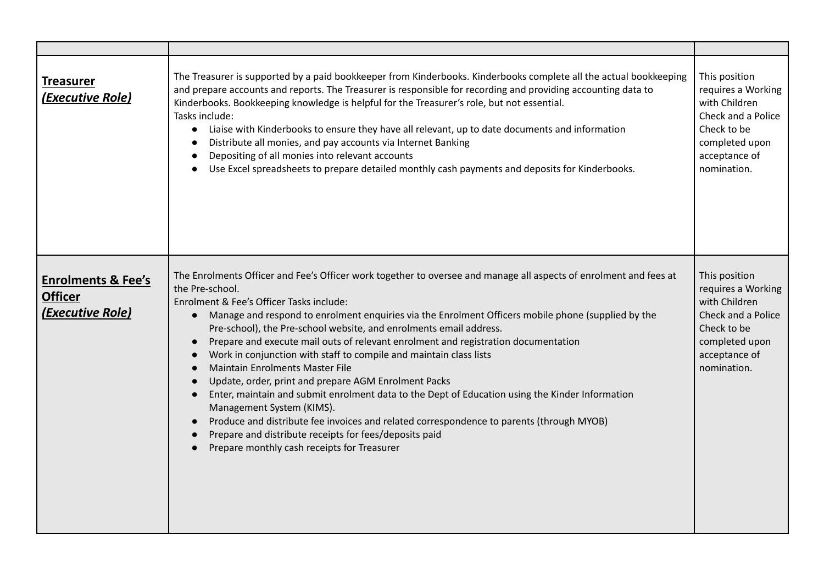| <b>Treasurer</b><br>(Executive Role)                                | The Treasurer is supported by a paid bookkeeper from Kinderbooks. Kinderbooks complete all the actual bookkeeping<br>and prepare accounts and reports. The Treasurer is responsible for recording and providing accounting data to<br>Kinderbooks. Bookkeeping knowledge is helpful for the Treasurer's role, but not essential.<br>Tasks include:<br>Liaise with Kinderbooks to ensure they have all relevant, up to date documents and information<br>$\bullet$<br>Distribute all monies, and pay accounts via Internet Banking<br>Depositing of all monies into relevant accounts<br>$\bullet$<br>Use Excel spreadsheets to prepare detailed monthly cash payments and deposits for Kinderbooks.                                                                                                                                                                                                                                                                                                                                                        | This position<br>requires a Working<br>with Children<br>Check and a Police<br>Check to be<br>completed upon<br>acceptance of<br>nomination. |
|---------------------------------------------------------------------|------------------------------------------------------------------------------------------------------------------------------------------------------------------------------------------------------------------------------------------------------------------------------------------------------------------------------------------------------------------------------------------------------------------------------------------------------------------------------------------------------------------------------------------------------------------------------------------------------------------------------------------------------------------------------------------------------------------------------------------------------------------------------------------------------------------------------------------------------------------------------------------------------------------------------------------------------------------------------------------------------------------------------------------------------------|---------------------------------------------------------------------------------------------------------------------------------------------|
| <b>Enrolments &amp; Fee's</b><br><b>Officer</b><br>(Executive Role) | The Enrolments Officer and Fee's Officer work together to oversee and manage all aspects of enrolment and fees at<br>the Pre-school.<br>Enrolment & Fee's Officer Tasks include:<br>Manage and respond to enrolment enquiries via the Enrolment Officers mobile phone (supplied by the<br>$\bullet$<br>Pre-school), the Pre-school website, and enrolments email address.<br>Prepare and execute mail outs of relevant enrolment and registration documentation<br>$\bullet$<br>Work in conjunction with staff to compile and maintain class lists<br>$\bullet$<br><b>Maintain Enrolments Master File</b><br>$\bullet$<br>Update, order, print and prepare AGM Enrolment Packs<br>$\bullet$<br>Enter, maintain and submit enrolment data to the Dept of Education using the Kinder Information<br>$\bullet$<br>Management System (KIMS).<br>Produce and distribute fee invoices and related correspondence to parents (through MYOB)<br>Prepare and distribute receipts for fees/deposits paid<br>$\bullet$<br>Prepare monthly cash receipts for Treasurer | This position<br>requires a Working<br>with Children<br>Check and a Police<br>Check to be<br>completed upon<br>acceptance of<br>nomination. |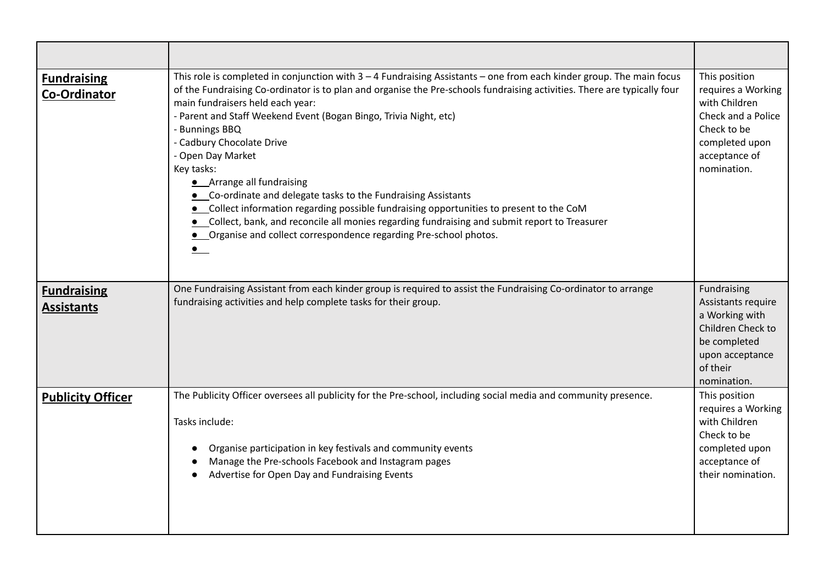| <b>Fundraising</b><br><b>Co-Ordinator</b> | This role is completed in conjunction with $3 - 4$ Fundraising Assistants – one from each kinder group. The main focus<br>of the Fundraising Co-ordinator is to plan and organise the Pre-schools fundraising activities. There are typically four<br>main fundraisers held each year:<br>- Parent and Staff Weekend Event (Bogan Bingo, Trivia Night, etc)<br>- Bunnings BBQ<br>- Cadbury Chocolate Drive<br>- Open Day Market<br>Key tasks:<br>• Arrange all fundraising<br>• Co-ordinate and delegate tasks to the Fundraising Assistants<br>• Collect information regarding possible fundraising opportunities to present to the CoM<br>Collect, bank, and reconcile all monies regarding fundraising and submit report to Treasurer<br>• Organise and collect correspondence regarding Pre-school photos. | This position<br>requires a Working<br>with Children<br>Check and a Police<br>Check to be<br>completed upon<br>acceptance of<br>nomination. |
|-------------------------------------------|----------------------------------------------------------------------------------------------------------------------------------------------------------------------------------------------------------------------------------------------------------------------------------------------------------------------------------------------------------------------------------------------------------------------------------------------------------------------------------------------------------------------------------------------------------------------------------------------------------------------------------------------------------------------------------------------------------------------------------------------------------------------------------------------------------------|---------------------------------------------------------------------------------------------------------------------------------------------|
| <b>Fundraising</b><br><b>Assistants</b>   | One Fundraising Assistant from each kinder group is required to assist the Fundraising Co-ordinator to arrange<br>fundraising activities and help complete tasks for their group.                                                                                                                                                                                                                                                                                                                                                                                                                                                                                                                                                                                                                              | Fundraising<br>Assistants require<br>a Working with<br>Children Check to<br>be completed<br>upon acceptance<br>of their<br>nomination.      |
| <b>Publicity Officer</b>                  | The Publicity Officer oversees all publicity for the Pre-school, including social media and community presence.<br>Tasks include:<br>Organise participation in key festivals and community events<br>Manage the Pre-schools Facebook and Instagram pages<br>Advertise for Open Day and Fundraising Events                                                                                                                                                                                                                                                                                                                                                                                                                                                                                                      | This position<br>requires a Working<br>with Children<br>Check to be<br>completed upon<br>acceptance of<br>their nomination.                 |